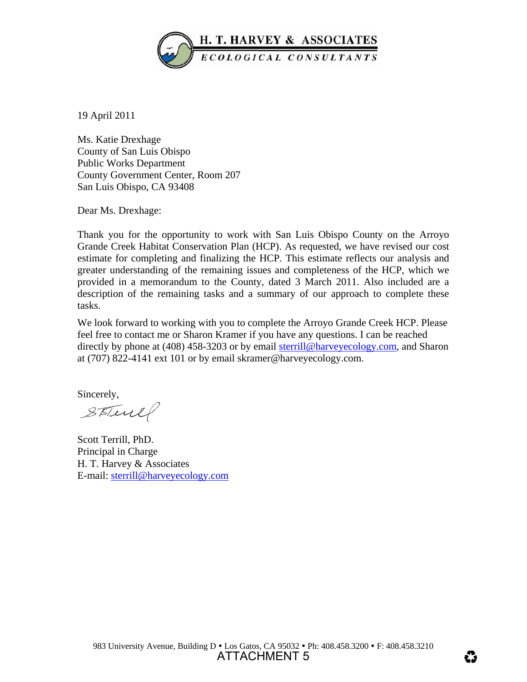

19 April 2011

Ms. Katie Drexhage County of San Luis Obispo Public Works Department County Government Center, Room 207 San Luis Obispo, CA 93408

Dear Ms. Drexhage:

Thank you for the opportunity to work with San Luis Obispo County on the Arroyo Grande Creek Habitat Conservation Plan (HCP). As requested, we have revised our cost estimate for completing and finalizing the HCP. This estimate reflects our analysis and greater understanding of the remaining issues and completeness of the HCP, which we provided in a memorandum to the County, dated 3 March 2011. Also included are a description of the remaining tasks and a summary of our approach to complete these tasks.

We look forward to working with you to complete the Arroyo Grande Creek HCP. Please feel free to contact me or Sharon Kramer if you have any questions. I can be reached directly by phone at (408) 458-3203 or by email [sterrill@harveyecology.com,](mailto:sterrill@harveyecology.com) and Sharon at (707) 822-4141 ext 101 or by email skramer@harveyecology.com.

Sincerely,

STTerel

Scott Terrill, PhD. Principal in Charge H. T. Harvey & Associates E-mail: [sterrill@harveyecology.com](mailto:sterrill@harveyecology.com)

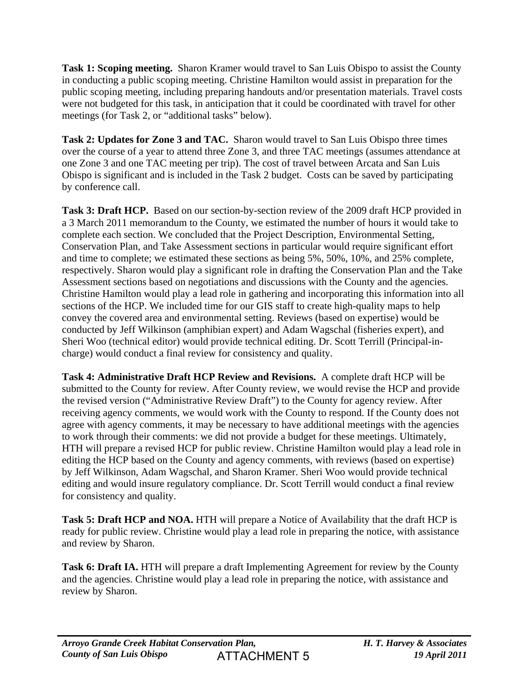**Task 1: Scoping meeting.** Sharon Kramer would travel to San Luis Obispo to assist the County in conducting a public scoping meeting. Christine Hamilton would assist in preparation for the public scoping meeting, including preparing handouts and/or presentation materials. Travel costs were not budgeted for this task, in anticipation that it could be coordinated with travel for other meetings (for Task 2, or "additional tasks" below).

**Task 2: Updates for Zone 3 and TAC.** Sharon would travel to San Luis Obispo three times over the course of a year to attend three Zone 3, and three TAC meetings (assumes attendance at one Zone 3 and one TAC meeting per trip). The cost of travel between Arcata and San Luis Obispo is significant and is included in the Task 2 budget. Costs can be saved by participating by conference call.

**Task 3: Draft HCP.** Based on our section-by-section review of the 2009 draft HCP provided in a 3 March 2011 memorandum to the County, we estimated the number of hours it would take to complete each section. We concluded that the Project Description, Environmental Setting, Conservation Plan, and Take Assessment sections in particular would require significant effort and time to complete; we estimated these sections as being 5%, 50%, 10%, and 25% complete, respectively. Sharon would play a significant role in drafting the Conservation Plan and the Take Assessment sections based on negotiations and discussions with the County and the agencies. Christine Hamilton would play a lead role in gathering and incorporating this information into all sections of the HCP. We included time for our GIS staff to create high-quality maps to help convey the covered area and environmental setting. Reviews (based on expertise) would be conducted by Jeff Wilkinson (amphibian expert) and Adam Wagschal (fisheries expert), and Sheri Woo (technical editor) would provide technical editing. Dr. Scott Terrill (Principal-incharge) would conduct a final review for consistency and quality.

**Task 4: Administrative Draft HCP Review and Revisions.** A complete draft HCP will be submitted to the County for review. After County review, we would revise the HCP and provide the revised version ("Administrative Review Draft") to the County for agency review. After receiving agency comments, we would work with the County to respond. If the County does not agree with agency comments, it may be necessary to have additional meetings with the agencies to work through their comments: we did not provide a budget for these meetings. Ultimately, HTH will prepare a revised HCP for public review. Christine Hamilton would play a lead role in editing the HCP based on the County and agency comments, with reviews (based on expertise) by Jeff Wilkinson, Adam Wagschal, and Sharon Kramer. Sheri Woo would provide technical editing and would insure regulatory compliance. Dr. Scott Terrill would conduct a final review for consistency and quality.

**Task 5: Draft HCP and NOA.** HTH will prepare a Notice of Availability that the draft HCP is ready for public review. Christine would play a lead role in preparing the notice, with assistance and review by Sharon.

**Task 6: Draft IA.** HTH will prepare a draft Implementing Agreement for review by the County and the agencies. Christine would play a lead role in preparing the notice, with assistance and review by Sharon.